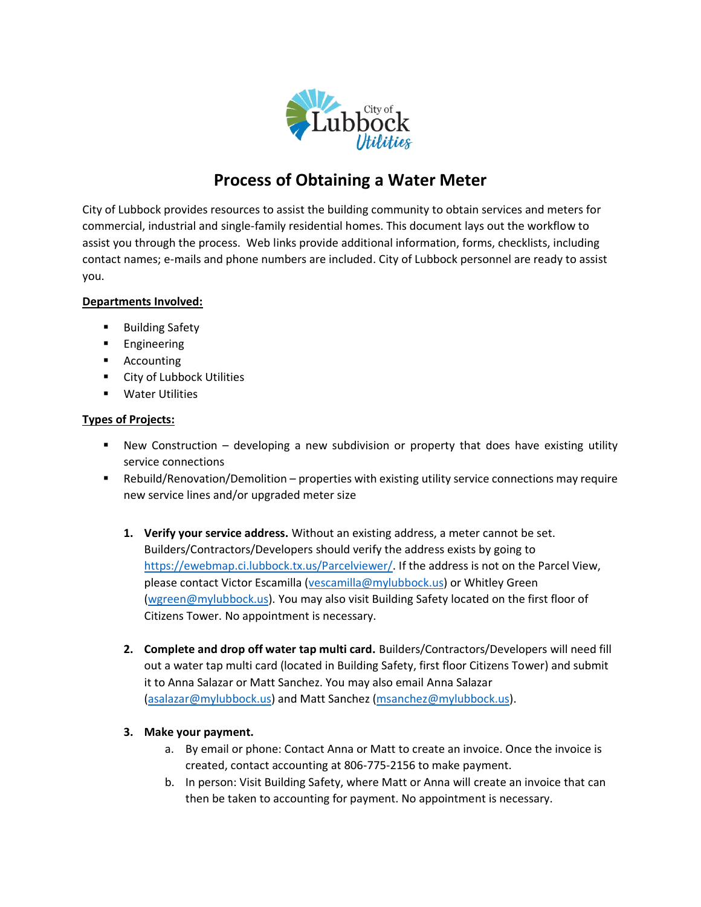

# **Process of Obtaining a Water Meter**

City of Lubbock provides resources to assist the building community to obtain services and meters for commercial, industrial and single-family residential homes. This document lays out the workflow to assist you through the process. Web links provide additional information, forms, checklists, including contact names; e-mails and phone numbers are included. City of Lubbock personnel are ready to assist you.

### **Departments Involved:**

- Building Safety
- Engineering
- Accounting
- City of Lubbock Utilities
- Water Utilities

#### **Types of Projects:**

- New Construction developing a new subdivision or property that does have existing utility service connections
- **E** Rebuild/Renovation/Demolition properties with existing utility service connections may require new service lines and/or upgraded meter size
	- **1. Verify your service address.** Without an existing address, a meter cannot be set. Builders/Contractors/Developers should verify the address exists by going to [https://ewebmap.ci.lubbock.tx.us/Parcelviewer/.](https://ewebmap.ci.lubbock.tx.us/Parcelviewer/) If the address is not on the Parcel View, please contact Victor Escamilla [\(vescamilla@mylubbock.us\)](mailto:vescamilla@mylubbock.us) or Whitley Green [\(wgreen@mylubbock.us\)](mailto:wgreen@mylubbock.us). You may also visit Building Safety located on the first floor of Citizens Tower. No appointment is necessary.
	- **2. Complete and drop off water tap multi card.** Builders/Contractors/Developers will need fill out a water tap multi card (located in Building Safety, first floor Citizens Tower) and submit it to Anna Salazar or Matt Sanchez. You may also email Anna Salazar [\(asalazar@mylubbock.us\)](mailto:asalazar@mylubbock.us) and Matt Sanchez [\(msanchez@mylubbock.us\)](mailto:msanchez@mylubbock.us).

#### **3. Make your payment.**

- a. By email or phone: Contact Anna or Matt to create an invoice. Once the invoice is created, contact accounting at 806-775-2156 to make payment.
- b. In person: Visit Building Safety, where Matt or Anna will create an invoice that can then be taken to accounting for payment. No appointment is necessary.